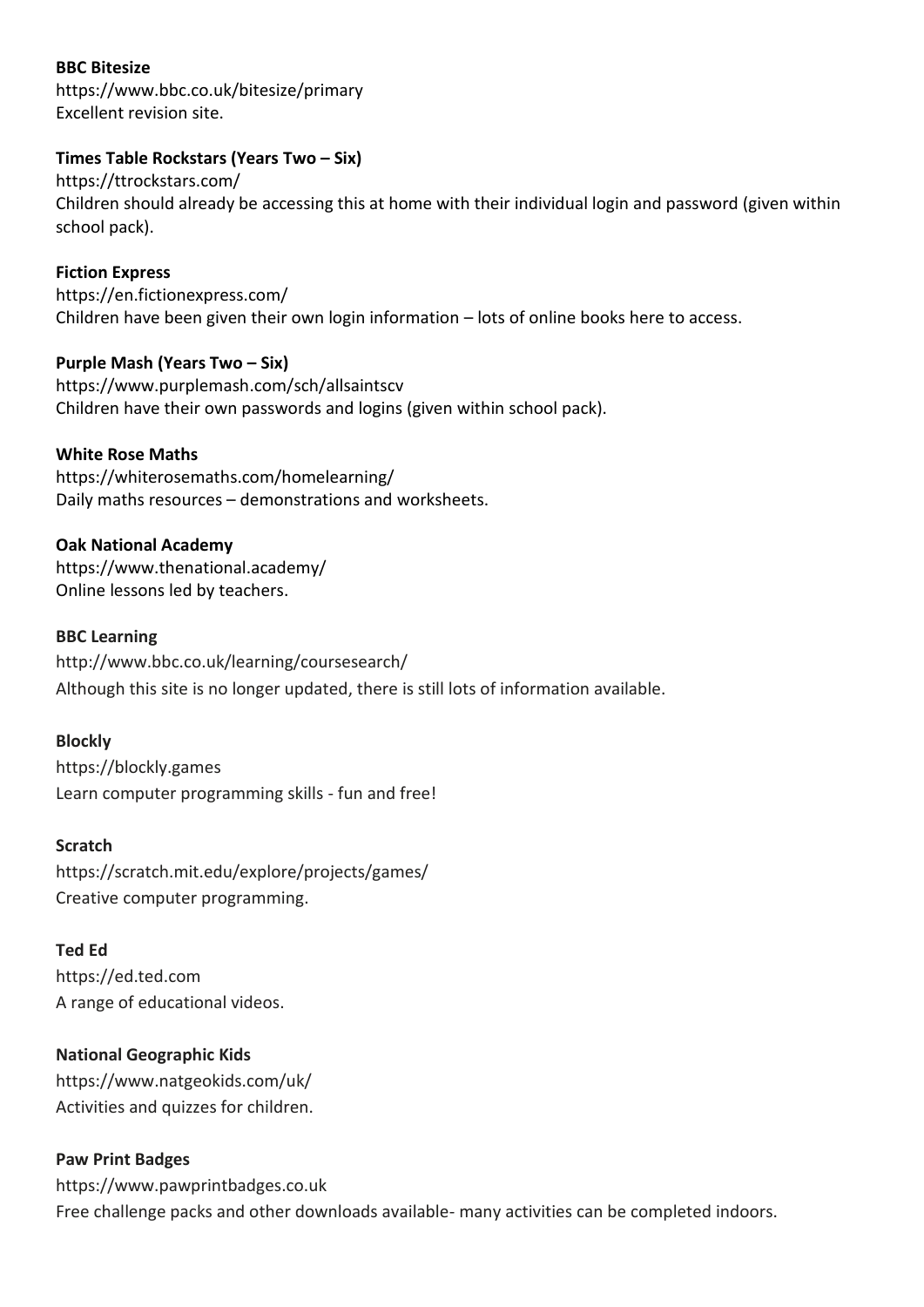# **BBC Bitesize**

https://www.bbc.co.uk/bitesize/primary Excellent revision site.

## **Times Table Rockstars (Years Two – Six)**

https://ttrockstars.com/ Children should already be accessing this at home with their individual login and password (given within school pack).

**Fiction Express** https://en.fictionexpress.com/ Children have been given their own login information – lots of online books here to access.

**Purple Mash (Years Two – Six)** https://www.purplemash.com/sch/allsaintscv Children have their own passwords and logins (given within school pack).

# **White Rose Maths**

https://whiterosemaths.com/homelearning/ Daily maths resources – demonstrations and worksheets.

## **Oak National Academy**

https://www.thenational.academy/ Online lessons led by teachers.

## **BBC Learning**

http://www.bbc.co.uk/learning/coursesearch/ Although this site is no longer updated, there is still lots of information available.

### **Blockly**

https://blockly.games Learn computer programming skills - fun and free!

### **Scratch**

https://scratch.mit.edu/explore/projects/games/ Creative computer programming.

### **Ted Ed**

https://ed.ted.com A range of educational videos.

# **National Geographic Kids**

https://www.natgeokids.com/uk/ Activities and quizzes for children.

# **Paw Print Badges**

https://www.pawprintbadges.co.uk Free challenge packs and other downloads available- many activities can be completed indoors.